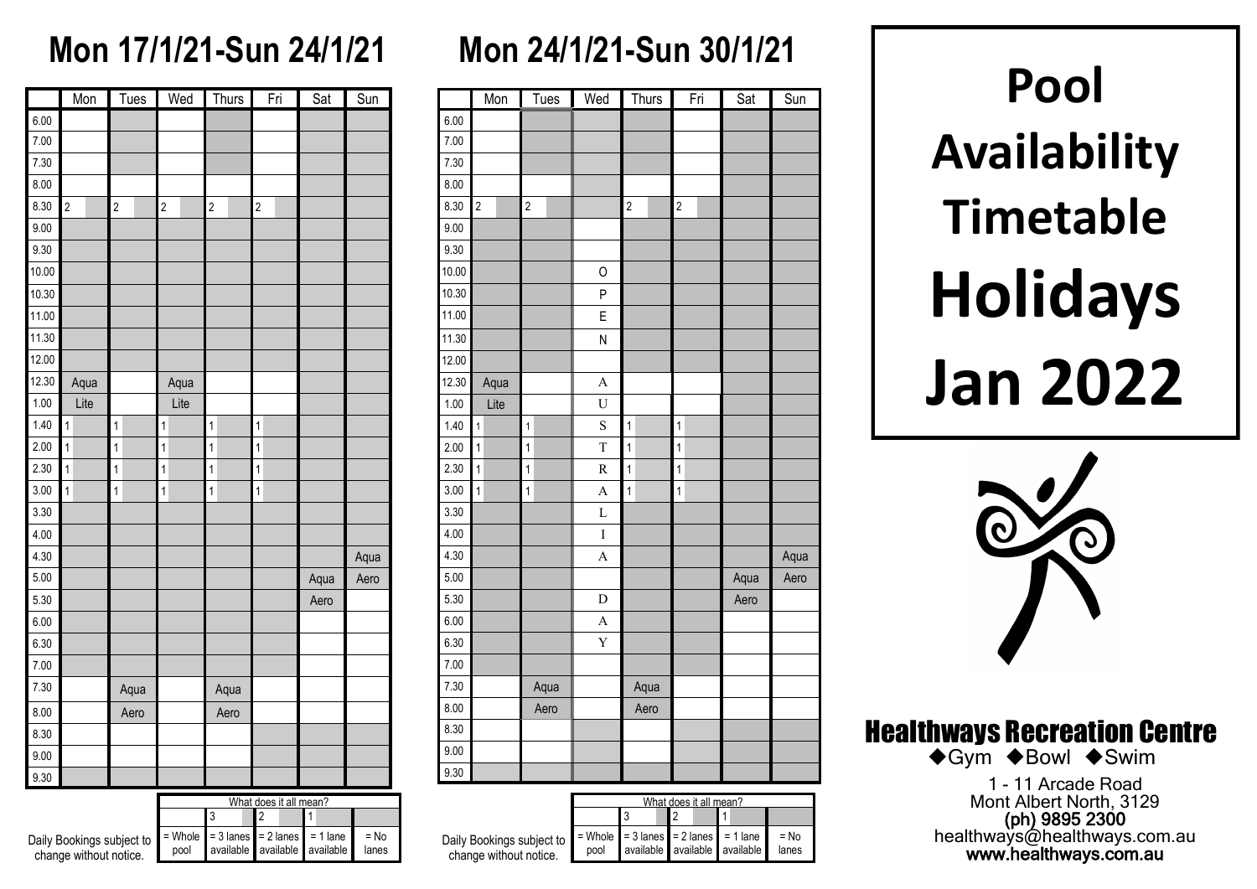### **Mon 17/1/21-Sun 24/1/21**

|       | $M$ on         | <b>Tues</b>    | Wed                     | Thurs          | Fri                     | $\overline{Sat}$ | $\overline{\text{S}}$ <u>un</u> |  |  |
|-------|----------------|----------------|-------------------------|----------------|-------------------------|------------------|---------------------------------|--|--|
| 6.00  |                |                |                         |                |                         |                  |                                 |  |  |
| 7.00  |                |                |                         |                |                         |                  |                                 |  |  |
| 7.30  |                |                |                         |                |                         |                  |                                 |  |  |
| 8.00  |                |                |                         |                |                         |                  |                                 |  |  |
| 8.30  | $\overline{c}$ | $\overline{c}$ | $\overline{\mathbf{c}}$ | $\overline{c}$ | $\overline{c}$          |                  |                                 |  |  |
| 9.00  |                |                |                         |                |                         |                  |                                 |  |  |
| 9.30  |                |                |                         |                |                         |                  |                                 |  |  |
| 10.00 |                |                |                         |                |                         |                  |                                 |  |  |
| 10.30 |                |                |                         |                |                         |                  |                                 |  |  |
| 11.00 |                |                |                         |                |                         |                  |                                 |  |  |
| 11.30 |                |                |                         |                |                         |                  |                                 |  |  |
| 12.00 |                |                |                         |                |                         |                  |                                 |  |  |
| 12.30 | Aqua           |                | Aqua                    |                |                         |                  |                                 |  |  |
| 1.00  | Lite           |                | Lite                    |                |                         |                  |                                 |  |  |
| 1.40  | $\mathbf{1}$   | $\mathbf{1}$   | 1                       | $\mathbf{1}$   | $\mathbf{1}$            |                  |                                 |  |  |
| 2.00  | $\overline{1}$ | $\mathbf{1}$   | $\overline{\mathbf{1}}$ | $\mathbf{1}$   | $\overline{\mathbf{1}}$ |                  |                                 |  |  |
| 2.30  | $\mathbf{1}$   | $\mathbf{1}$   | $\mathbf{1}$            | $\mathbf{1}$   | $\mathbf{1}$            |                  |                                 |  |  |
| 3.00  | $\overline{1}$ | $\overline{1}$ | $\mathbf{1}$            | $\mathbf{1}$   | $\mathbf{1}$            |                  |                                 |  |  |
| 3.30  |                |                |                         |                |                         |                  |                                 |  |  |
| 4.00  |                |                |                         |                |                         |                  |                                 |  |  |
| 4.30  |                |                |                         |                |                         |                  | Aqua                            |  |  |
| 5.00  |                |                |                         |                |                         | Aqua             | Aero                            |  |  |
| 5.30  |                |                |                         |                |                         | Aero             |                                 |  |  |
| 6.00  |                |                |                         |                |                         |                  |                                 |  |  |
| 6.30  |                |                |                         |                |                         |                  |                                 |  |  |
| 7.00  |                |                |                         |                |                         |                  |                                 |  |  |
| 7.30  |                | Aqua           |                         | Aqua           |                         |                  |                                 |  |  |
| 8.00  |                | Aero           |                         | Aero           |                         |                  |                                 |  |  |
| 8.30  |                |                |                         |                |                         |                  |                                 |  |  |
| 9.00  |                |                |                         |                |                         |                  |                                 |  |  |
| 9.30  |                |                |                         |                |                         |                  |                                 |  |  |

|                                                     | What does it all mean?                               |  |  |  |                               |                 |  |  |  |  |
|-----------------------------------------------------|------------------------------------------------------|--|--|--|-------------------------------|-----------------|--|--|--|--|
|                                                     |                                                      |  |  |  |                               |                 |  |  |  |  |
| Daily Bookings subject to<br>change without notice. | $=$ Whole $=$ 3 lanes $=$ 2 lanes $=$ 1 lane<br>pool |  |  |  | available available available | $=$ No<br>lanes |  |  |  |  |

# **Mon 24/1/21-Sun 30/1/21**

|       | Mon            | Tues                    | Wed                     | Thurs                   | Fri                     | Sat  | Sun  |
|-------|----------------|-------------------------|-------------------------|-------------------------|-------------------------|------|------|
| 6.00  |                |                         |                         |                         |                         |      |      |
| 7.00  |                |                         |                         |                         |                         |      |      |
| 7.30  |                |                         |                         |                         |                         |      |      |
| 8.00  |                |                         |                         |                         |                         |      |      |
| 8.30  | $\overline{c}$ | $\overline{\mathbf{c}}$ |                         | $\overline{c}$          | $\overline{\mathbf{c}}$ |      |      |
| 9.00  |                |                         |                         |                         |                         |      |      |
| 9.30  |                |                         |                         |                         |                         |      |      |
| 10.00 |                |                         | 0                       |                         |                         |      |      |
| 10.30 |                |                         | P                       |                         |                         |      |      |
| 11.00 |                |                         | E                       |                         |                         |      |      |
| 11.30 |                |                         | N                       |                         |                         |      |      |
| 12.00 |                |                         |                         |                         |                         |      |      |
| 12.30 | Aqua           |                         | A                       |                         |                         |      |      |
| 1.00  | Lite           |                         | $\mathbf U$             |                         |                         |      |      |
| 1.40  | $\mathbf{1}$   | 1                       | S                       | $\overline{1}$          | $\mathbf{1}$            |      |      |
| 2.00  | $\mathbf{1}$   | $\mathbf{1}$            | T                       | $\overline{\mathbf{1}}$ | $\overline{1}$          |      |      |
| 2.30  | $\mathbf{1}$   | $\overline{1}$          | R                       | 1                       | $\mathbf{1}$            |      |      |
| 3.00  | $\mathbf{1}$   | $\overline{1}$          | A                       | $\overline{1}$          | $\overline{1}$          |      |      |
| 3.30  |                |                         | L                       |                         |                         |      |      |
| 4.00  |                |                         | $\mathbf I$             |                         |                         |      |      |
| 4.30  |                |                         | A                       |                         |                         |      | Aqua |
| 5.00  |                |                         |                         |                         |                         | Aqua | Aero |
| 5.30  |                |                         | D                       |                         |                         | Aero |      |
| 6.00  |                |                         | $\overline{\mathbf{A}}$ |                         |                         |      |      |
| 6.30  |                |                         | Y                       |                         |                         |      |      |
| 7.00  |                |                         |                         |                         |                         |      |      |
| 7.30  |                | Aqua                    |                         | Aqua                    |                         |      |      |
| 8.00  |                | Aero                    |                         | Aero                    |                         |      |      |
| 8.30  |                |                         |                         |                         |                         |      |      |
| 9.00  |                |                         |                         |                         |                         |      |      |
| 9.30  |                |                         |                         |                         |                         |      |      |

|                                                     | What does it all mean? |                                              |  |                               |                 |  |  |  |  |  |  |  |
|-----------------------------------------------------|------------------------|----------------------------------------------|--|-------------------------------|-----------------|--|--|--|--|--|--|--|
|                                                     |                        |                                              |  |                               |                 |  |  |  |  |  |  |  |
| Daily Bookings subject to<br>change without notice. | pool                   | $=$ Whole $=$ 3 lanes $=$ 2 lanes $=$ 1 lane |  | available available available | $=$ No<br>lanes |  |  |  |  |  |  |  |

**Pool Availability Timetable Holidays Jan 2022**



Healthways Recreation Centre

◆Gym ◆Bowl ◆Swim

1 - 11 Arcade Road Mont Albert North, 3129 (ph) 9895 2300 healthways@healthways.com.au www.healthways.com.au